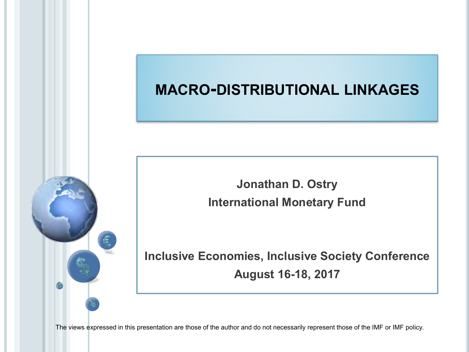#### **MACRO-DISTRIBUTIONAL LINKAGES**

**Jonathan D. Ostry International Monetary Fund**

**Inclusive Economies, Inclusive Society Conference August 16-18, 2017**

The views expressed in this presentation are those of the author and do not necessarily represent those of the IMF or IMF policy.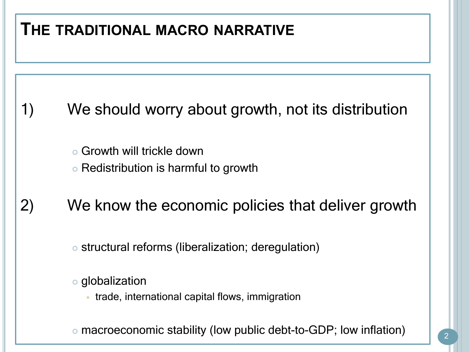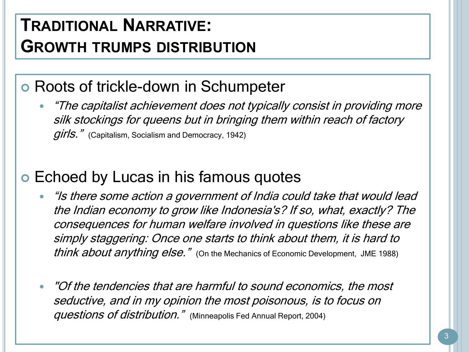## **TRADITIONAL NARRATIVE: GROWTH TRUMPS DISTRIBUTION**

#### Roots of trickle-down in Schumpeter

 "The capitalist achievement does not typically consist in providing more silk stockings for queens but in bringing them within reach of factory girls." (Capitalism, Socialism and Democracy, 1942)

#### Echoed by Lucas in his famous quotes

- "Is there some action a government of India could take that would lead the Indian economy to grow like Indonesia's? If so, what, exactly? The consequences for human welfare involved in questions like these are simply staggering: Once one starts to think about them, it is hard to think about anything else." (On the Mechanics of Economic Development, JME 1988)
- "Of the tendencies that are harmful to sound economics, the most seductive, and in my opinion the most poisonous, is to focus on *questions of distribution.*" (Minneapolis Fed Annual Report, 2004)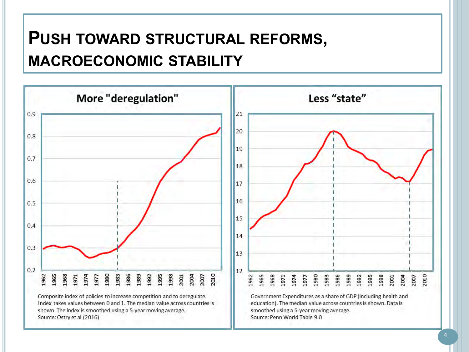## **PUSH TOWARD STRUCTURAL REFORMS, MACROECONOMIC STABILITY**

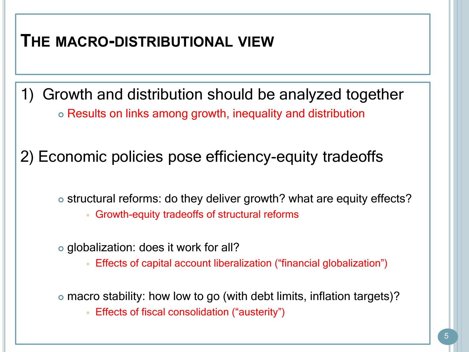### **THE MACRO-DISTRIBUTIONAL VIEW**

1) Growth and distribution should be analyzed together Results on links among growth, inequality and distribution

2) Economic policies pose efficiency-equity tradeoffs

structural reforms: do they deliver growth? what are equity effects?

Growth-equity tradeoffs of structural reforms

globalization: does it work for all?

Effects of capital account liberalization ("financial globalization")

macro stability: how low to go (with debt limits, inflation targets)?

**Effects of fiscal consolidation ("austerity")**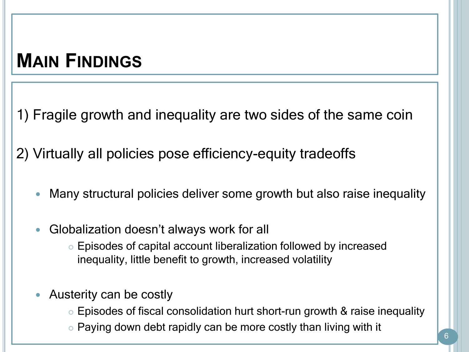## **MAIN FINDINGS**

1) Fragile growth and inequality are two sides of the same coin

2) Virtually all policies pose efficiency-equity tradeoffs

- Many structural policies deliver some growth but also raise inequality
- Globalization doesn't always work for all
	- Episodes of capital account liberalization followed by increased inequality, little benefit to growth, increased volatility
- Austerity can be costly
	- Episodes of fiscal consolidation hurt short-run growth & raise inequality
	- Paying down debt rapidly can be more costly than living with it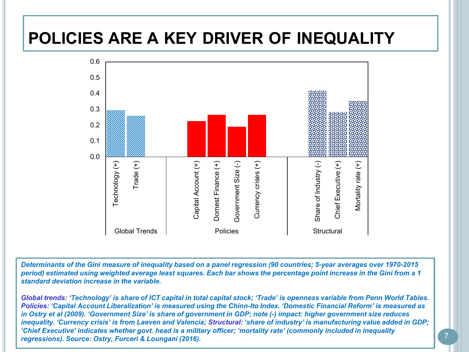### **POLICIES ARE A KEY DRIVER OF INEQUALITY**



*Determinants of the Gini measure of inequality based on a panel regression (90 countries; 5-year averages over 1970-2015 period) estimated using weighted average least squares. Each bar shows the percentage point increase in the Gini from a 1 standard deviation increase in the variable.* 

*Global trends: 'Technology' is share of ICT capital in total capital stock; 'Trade' is openness variable from Penn World Tables. Policies: 'Capital Account Liberalization' is measured using the Chinn-Ito Index. 'Domestic Financial Reform' is measured as in Ostry et al (2009). 'Government Size' is share of government in GDP; note (-) impact: higher government size reduces inequality. 'Currency crisis' is from Laeven and Valencia; Structural: 'share of industry' is manufacturing value added in GDP; 'Chief Executive' indicates whether govt. head is a military officer; 'mortality rate' (commonly included in inequality regressions). Source: Ostry, Furceri & Loungani (2016).*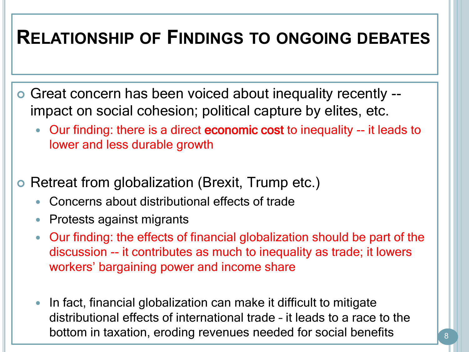## **RELATIONSHIP OF FINDINGS TO ONGOING DEBATES**

- Great concern has been voiced about inequality recently impact on social cohesion; political capture by elites, etc.
	- Our finding: there is a direct economic cost to inequality -- it leads to lower and less durable growth
- o Retreat from globalization (Brexit, Trump etc.)
	- Concerns about distributional effects of trade
	- Protests against migrants
	- Our finding: the effects of financial globalization should be part of the discussion -- it contributes as much to inequality as trade; it lowers workers' bargaining power and income share
	- In fact, financial globalization can make it difficult to mitigate distributional effects of international trade – it leads to a race to the bottom in taxation, eroding revenues needed for social benefits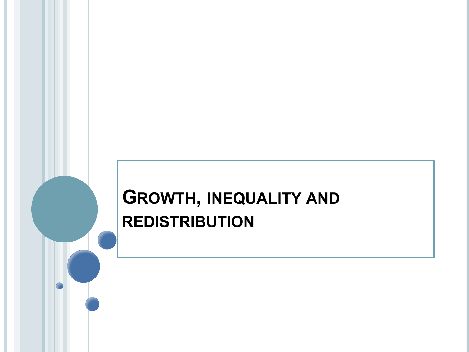# **GROWTH, INEQUALITY AND REDISTRIBUTION**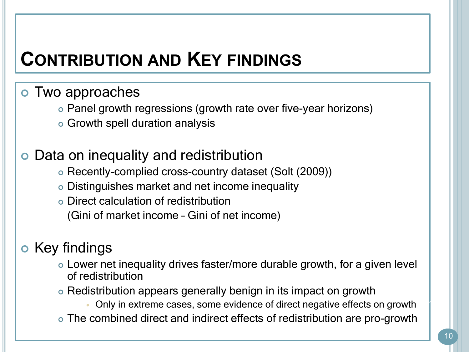## **CONTRIBUTION AND KEY FINDINGS**

#### Two approaches

- Panel growth regressions (growth rate over five-year horizons)
- Growth spell duration analysis

#### Data on inequality and redistribution

- Recently-complied cross-country dataset (Solt (2009))
- Distinguishes market and net income inequality
- Direct calculation of redistribution (Gini of market income – Gini of net income)

#### **o** Key findings

- Lower net inequality drives faster/more durable growth, for a given level of redistribution
- Redistribution appears generally benign in its impact on growth
	- Only in extreme cases, some evidence of direct negative effects on growth
- The combined direct and indirect effects of redistribution are pro-growth

i.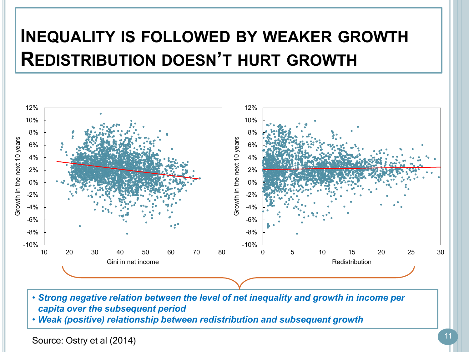# **INEQUALITY IS FOLLOWED BY WEAKER GROWTH REDISTRIBUTION DOESN'T HURT GROWTH**



- *Strong negative relation between the level of net inequality and growth in income per capita over the subsequent period*
- *Weak (positive) relationship between redistribution and subsequent growth*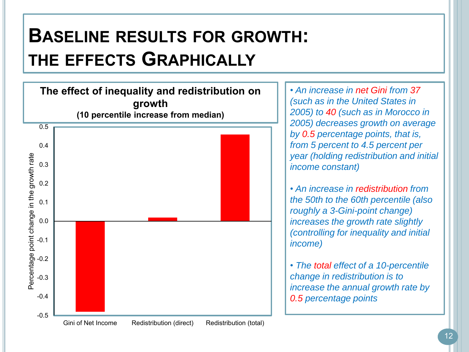# **BASELINE RESULTS FOR GROWTH: THE EFFECTS GRAPHICALLY**



• *An increase in net Gini from 37 (such as in the United States in 2005) to 40 (such as in Morocco in 2005) decreases growth on average by 0.5 percentage points, that is, from 5 percent to 4.5 percent per year (holding redistribution and initial income constant)*

• *An increase in redistribution from the 50th to the 60th percentile (also roughly a 3-Gini-point change) increases the growth rate slightly (controlling for inequality and initial income)*

• *The total effect of a 10-percentile change in redistribution is to increase the annual growth rate by 0.5 percentage points*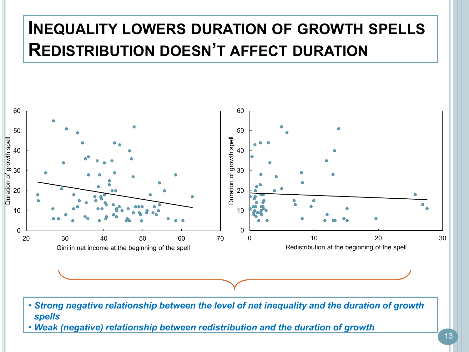## **INEQUALITY LOWERS DURATION OF GROWTH SPELLS REDISTRIBUTION DOESN'T AFFECT DURATION**

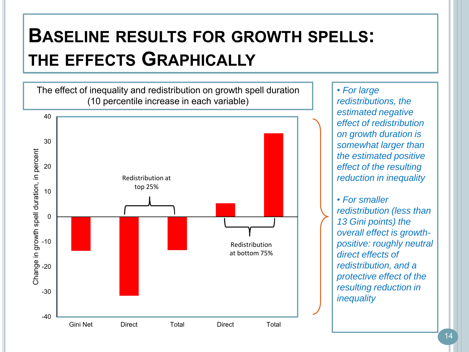# **BASELINE RESULTS FOR GROWTH SPELLS: THE EFFECTS GRAPHICALLY**

The effect of inequality and redistribution on growth spell duration (10 percentile increase in each variable)



• *For large redistributions, the estimated negative effect of redistribution on growth duration is somewhat larger than the estimated positive effect of the resulting reduction in inequality* 

14 • *For smaller redistribution (less than 13 Gini points) the overall effect is growthpositive: roughly neutral direct effects of redistribution, and a protective effect of the resulting reduction in inequality*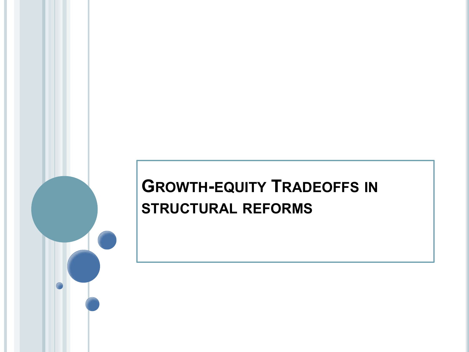## **GROWTH-EQUITY TRADEOFFS IN STRUCTURAL REFORMS**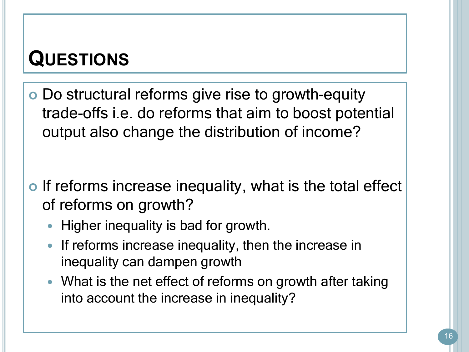## **QUESTIONS**

 Do structural reforms give rise to growth-equity trade-offs i.e. do reforms that aim to boost potential output also change the distribution of income?

- o If reforms increase inequality, what is the total effect of reforms on growth?
	- Higher inequality is bad for growth.
	- If reforms increase inequality, then the increase in inequality can dampen growth
	- What is the net effect of reforms on growth after taking into account the increase in inequality?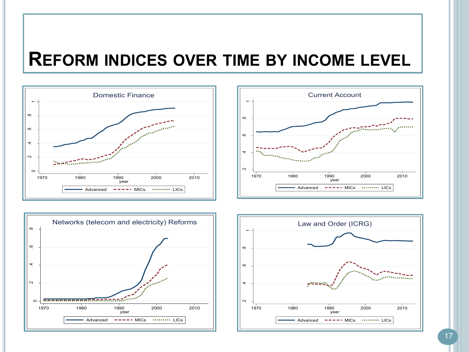### **REFORM INDICES OVER TIME BY INCOME LEVEL**







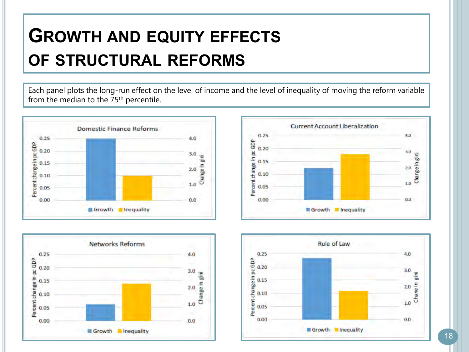# **GROWTH AND EQUITY EFFECTS OF STRUCTURAL REFORMS**

Each panel plots the long-run effect on the level of income and the level of inequality of moving the reform variable from the median to the 75<sup>th</sup> percentile.







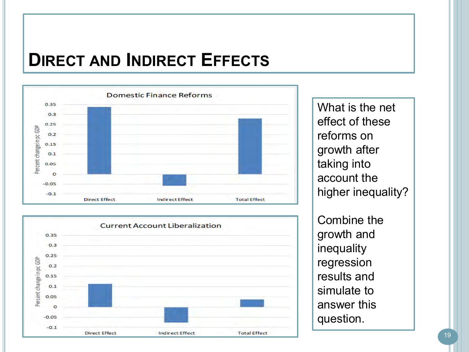### **DIRECT AND INDIRECT EFFECTS**





What is the net effect of these reforms on growth after taking into account the higher inequality?

Combine the growth and inequality regression results and simulate to answer this question.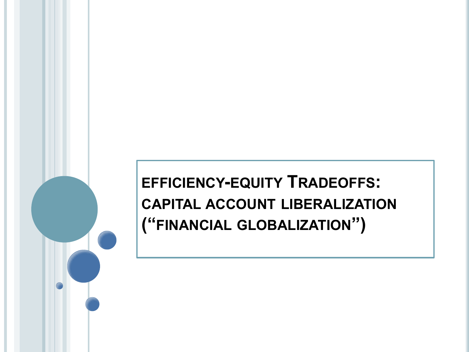**EFFICIENCY-EQUITY TRADEOFFS: CAPITAL ACCOUNT LIBERALIZATION ("FINANCIAL GLOBALIZATION")**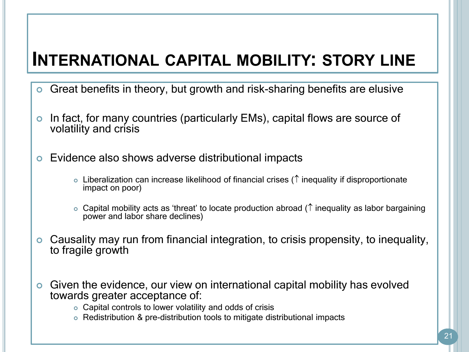### **INTERNATIONAL CAPITAL MOBILITY: STORY LINE**

- Great benefits in theory, but growth and risk-sharing benefits are elusive
- o In fact, for many countries (particularly EMs), capital flows are source of volatility and crisis
- Evidence also shows adverse distributional impacts
	- $\circ$  Liberalization can increase likelihood of financial crises ( $\uparrow$  inequality if disproportionate impact on poor)
	- $\circ$  Capital mobility acts as 'threat' to locate production abroad ( $\uparrow$  inequality as labor bargaining power and labor share declines)
- Causality may run from financial integration, to crisis propensity, to inequality, to fragile growth
- Given the evidence, our view on international capital mobility has evolved towards greater acceptance of:
	- Capital controls to lower volatility and odds of crisis
	- Redistribution & pre-distribution tools to mitigate distributional impacts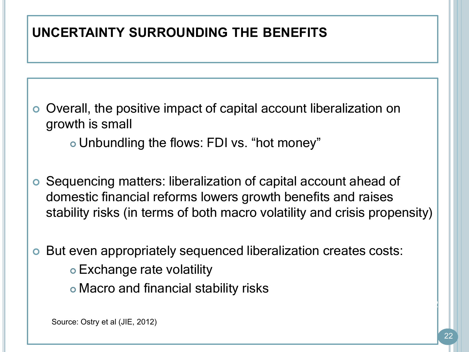| UNCERTAINTY SURROUNDING THE BENEFITS                                                                                                                                                                          |
|---------------------------------------------------------------------------------------------------------------------------------------------------------------------------------------------------------------|
|                                                                                                                                                                                                               |
| Overall, the positive impact of capital account liberalization on<br>$\bullet$<br>growth is small                                                                                                             |
| • Unbundling the flows: FDI vs. "hot money"                                                                                                                                                                   |
| • Sequencing matters: liberalization of capital account ahead of<br>domestic financial reforms lowers growth benefits and raises<br>stability risks (in terms of both macro volatility and crisis propensity) |
| But even appropriately sequenced liberalization creates costs:<br>$\bullet$<br>• Exchange rate volatility                                                                                                     |
| • Macro and financial stability risks                                                                                                                                                                         |
| Source: Ostry et al (JIE, 2012)                                                                                                                                                                               |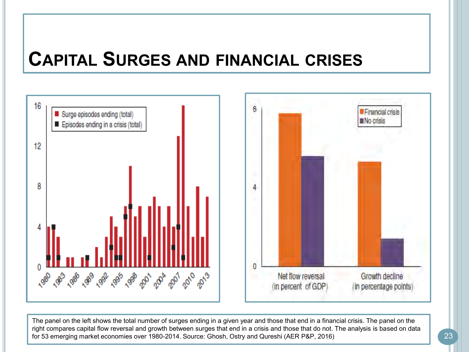## **CAPITAL SURGES AND FINANCIAL CRISES**



The panel on the left shows the total number of surges ending in a given year and those that end in a financial crisis. The panel on the right compares capital flow reversal and growth between surges that end in a crisis and those that do not. The analysis is based on data for 53 emerging market economies over 1980-2014. Source: Ghosh, Ostry and Qureshi (AER P&P, 2016)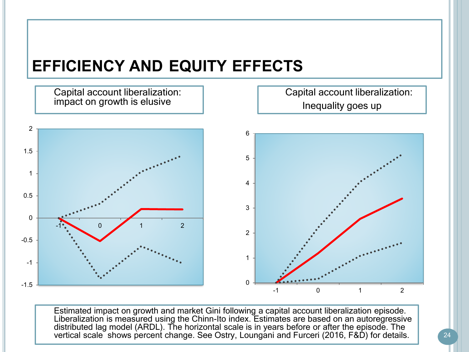### **EFFICIENCY AND EQUITY EFFECTS**



Estimated impact on growth and market Gini following a capital account liberalization episode. Liberalization is measured using the Chinn-Ito index. Estimates are based on an autoregressive distributed lag model (ARDL). The horizontal scale is in years before or after the episode. The vertical scale shows percent change. See Ostry, Loungani and Furceri (2016, F&D) for details.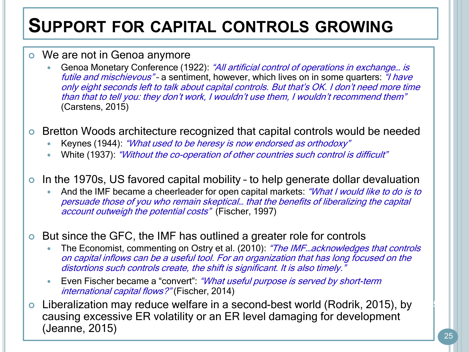## **SUPPORT FOR CAPITAL CONTROLS GROWING**

#### We are not in Genoa anymore

- Genoa Monetary Conference (1922): "All artificial control of operations in exchange… is futile and mischievous" - a sentiment, however, which lives on in some quarters: "I have only eight seconds left to talk about capital controls. But that's OK. I don't need more time than that to tell you: they don't work, I wouldn't use them, I wouldn't recommend them" (Carstens, 2015)
- Bretton Woods architecture recognized that capital controls would be needed
	- Keynes (1944): "What used to be heresy is now endorsed as orthodoxy"
	- White (1937): "Without the co-operation of other countries such control is difficult"
- In the 1970s, US favored capital mobility to help generate dollar devaluation
	- And the IMF became a cheerleader for open capital markets: "What I would like to do is to persuade those of you who remain skeptical… that the benefits of liberalizing the capital account outweigh the potential costs" (Fischer, 1997)
- But since the GFC, the IMF has outlined a greater role for controls
	- The Economist, commenting on Ostry et al. (2010): "The IMF...acknowledges that controls on capital inflows can be a useful tool. For an organization that has long focused on the distortions such controls create, the shift is significant. It is also timely."
	- Even Fischer became a "convert": "*What useful purpose is served by short-term* international capital flows?" (Fischer, 2014)
- Liberalization may reduce welfare in a second-best world (Rodrik, 2015), by causing excessive ER volatility or an ER level damaging for development (Jeanne, 2015)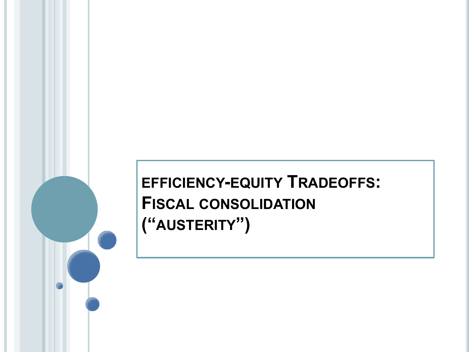**EFFICIENCY-EQUITY TRADEOFFS: FISCAL CONSOLIDATION ("AUSTERITY")**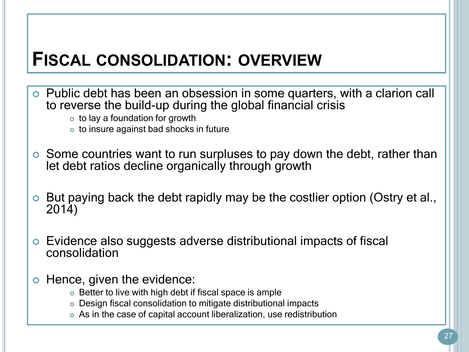## **FISCAL CONSOLIDATION: OVERVIEW**

- Public debt has been an obsession in some quarters, with a clarion call to reverse the build-up during the global financial crisis
	- to lay a foundation for growth
	- to insure against bad shocks in future
- Some countries want to run surpluses to pay down the debt, rather than let debt ratios decline organically through growth
- But paying back the debt rapidly may be the costlier option (Ostry et al., 2014)
- Evidence also suggests adverse distributional impacts of fiscal consolidation
- o Hence, given the evidence:
	- Better to live with high debt if fiscal space is ample
	- Design fiscal consolidation to mitigate distributional impacts
	- As in the case of capital account liberalization, use redistribution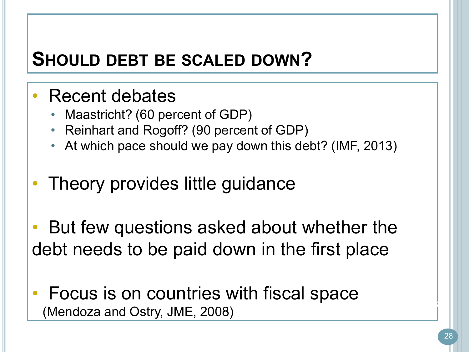## **SHOULD DEBT BE SCALED DOWN?**

### • Recent debates

- Maastricht? (60 percent of GDP)
- Reinhart and Rogoff? (90 percent of GDP)
- At which pace should we pay down this debt? (IMF, 2013)
- Theory provides little guidance
- But few questions asked about whether the debt needs to be paid down in the first place
- Focus is on countries with fiscal space (Mendoza and Ostry, JME, 2008)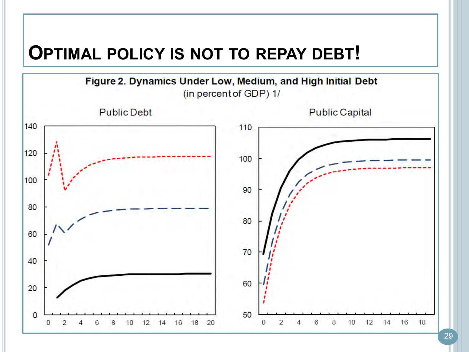### **OPTIMAL POLICY IS NOT TO REPAY DEBT!**

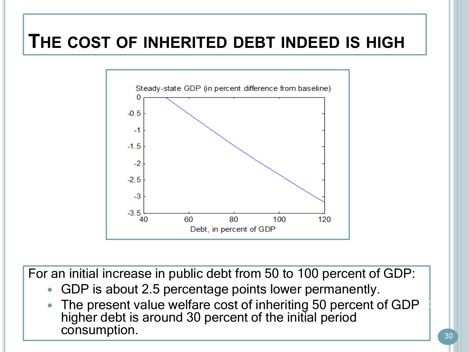### **THE COST OF INHERITED DEBT INDEED IS HIGH**



For an initial increase in public debt from 50 to 100 percent of GDP:

- GDP is about 2.5 percentage points lower permanently.
- The present value welfare cost of inheriting 50 percent of GDP higher debt is around 30 percent of the initial period consumption.

 $\mathfrak{g}_{\mathbb{Z}}$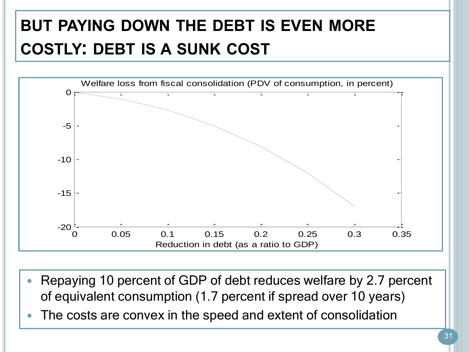## **BUT PAYING DOWN THE DEBT IS EVEN MORE COSTLY: DEBT IS A SUNK COST**



- Repaying 10 percent of GDP of debt reduces welfare by 2.7 percent of equivalent consumption (1.7 percent if spread over 10 years)
- The costs are convex in the speed and extent of consolidation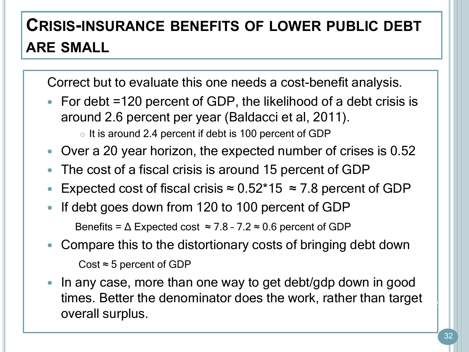### **CRISIS-INSURANCE BENEFITS OF LOWER PUBLIC DEBT ARE SMALL**

Correct but to evaluate this one needs a cost-benefit analysis.

- For debt =120 percent of GDP, the likelihood of a debt crisis is around 2.6 percent per year (Baldacci et al, 2011). o It is around 2.4 percent if debt is 100 percent of GDP
- Over a 20 year horizon, the expected number of crises is 0.52
- The cost of a fiscal crisis is around 15 percent of GDP
- Expected cost of fiscal crisis  $\approx 0.52*15 \approx 7.8$  percent of GDP
- If debt goes down from 120 to 100 percent of GDP Benefits =  $\triangle$  Expected cost  $\approx$  7.8 - 7.2  $\approx$  0.6 percent of GDP
- Compare this to the distortionary costs of bringing debt down Cost  $\approx$  5 percent of GDP
- In any case, more than one way to get debt/gdp down in good times. Better the denominator does the work, rather than target overall surplus.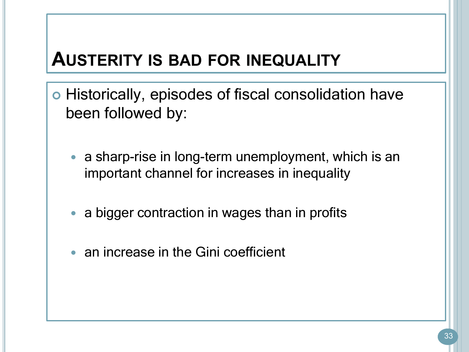## **AUSTERITY IS BAD FOR INEQUALITY**

- o Historically, episodes of fiscal consolidation have been followed by:
	- a sharp-rise in long-term unemployment, which is an important channel for increases in inequality
	- a bigger contraction in wages than in profits
	- an increase in the Gini coefficient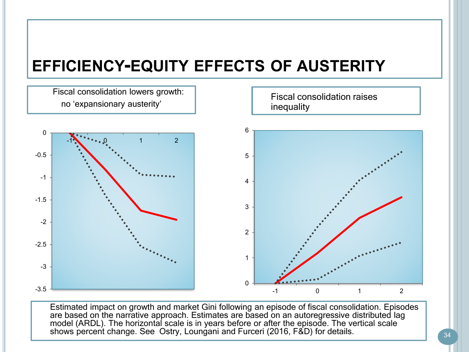### **EFFICIENCY-EQUITY EFFECTS OF AUSTERITY**



Estimated impact on growth and market Gini following an episode of fiscal consolidation. Episodes are based on the narrative approach. Estimates are based on an autoregressive distributed lag model (ARDL). The horizontal scale is in years before or after the episode. The vertical scale shows percent change. See Ostry, Loungani and Furceri (2016, F&D) for details.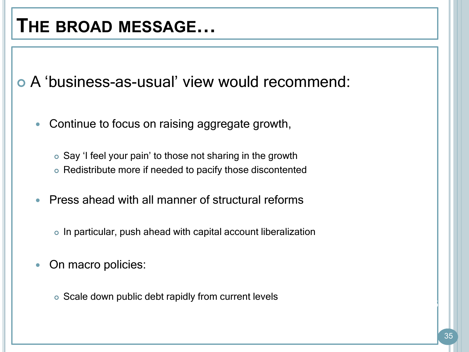## **THE BROAD MESSAGE…**

A 'business-as-usual' view would recommend:

- Continue to focus on raising aggregate growth,
	- Say 'I feel your pain' to those not sharing in the growth Redistribute more if needed to pacify those discontented
- Press ahead with all manner of structural reforms
	- In particular, push ahead with capital account liberalization
- On macro policies:
	- Scale down public debt rapidly from current levels